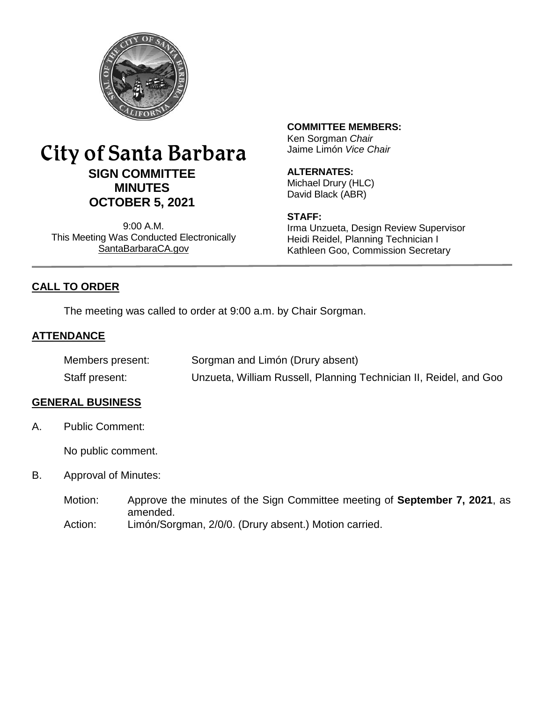

# City of Santa Barbara **SIGN COMMITTEE MINUTES OCTOBER 5, 2021**

9:00 A.M. This Meeting Was Conducted Electronically [SantaBarbaraCA.gov](http://www.santabarbaraca.gov/)

# **COMMITTEE MEMBERS:**

Ken Sorgman *Chair* Jaime Limón *Vice Chair*

### **ALTERNATES:**

Michael Drury (HLC) David Black (ABR)

#### **STAFF:**

Irma Unzueta, Design Review Supervisor Heidi Reidel, Planning Technician I Kathleen Goo, Commission Secretary

# **CALL TO ORDER**

The meeting was called to order at 9:00 a.m. by Chair Sorgman.

# **ATTENDANCE**

| Members present: | Sorgman and Limón (Drury absent)                                  |
|------------------|-------------------------------------------------------------------|
| Staff present:   | Unzueta, William Russell, Planning Technician II, Reidel, and Goo |

# **GENERAL BUSINESS**

A. Public Comment:

No public comment.

- B. Approval of Minutes:
	- Motion: Approve the minutes of the Sign Committee meeting of **September 7, 2021**, as amended. Action: Limón/Sorgman, 2/0/0. (Drury absent.) Motion carried.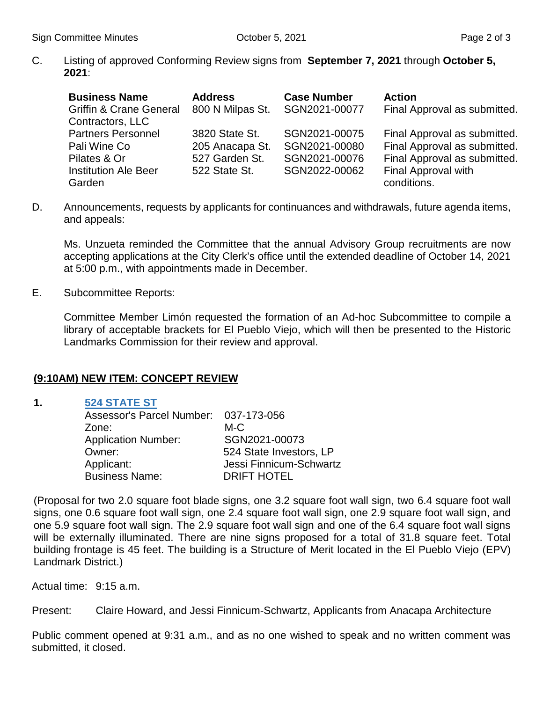C. Listing of approved Conforming Review signs from **September 7, 2021** through **October 5, 2021**:

| <b>Business Name</b><br><b>Griffin &amp; Crane General</b> | <b>Address</b><br>800 N Milpas St. | <b>Case Number</b><br>SGN2021-00077 | <b>Action</b><br>Final Approval as submitted. |
|------------------------------------------------------------|------------------------------------|-------------------------------------|-----------------------------------------------|
| Contractors, LLC                                           |                                    |                                     |                                               |
| <b>Partners Personnel</b>                                  | 3820 State St.                     | SGN2021-00075                       | Final Approval as submitted.                  |
| Pali Wine Co                                               | 205 Anacapa St.                    | SGN2021-00080                       | Final Approval as submitted.                  |
| Pilates & Or                                               | 527 Garden St.                     | SGN2021-00076                       | Final Approval as submitted.                  |
| <b>Institution Ale Beer</b>                                | 522 State St.                      | SGN2022-00062                       | Final Approval with                           |
| Garden                                                     |                                    |                                     | conditions.                                   |

D. Announcements, requests by applicants for continuances and withdrawals, future agenda items, and appeals:

Ms. Unzueta reminded the Committee that the annual Advisory Group recruitments are now accepting applications at the City Clerk's office until the extended deadline of October 14, 2021 at 5:00 p.m., with appointments made in December.

E. Subcommittee Reports:

Committee Member Limón requested the formation of an Ad-hoc Subcommittee to compile a library of acceptable brackets for El Pueblo Viejo, which will then be presented to the Historic Landmarks Commission for their review and approval.

#### **(9:10AM) NEW ITEM: CONCEPT REVIEW**

**1. [524 STATE ST](https://www.santabarbaraca.gov/civicax/filebank/blobdload.aspx?BlobID=239934)**

| Assessor's Parcel Number: 037-173-056 |                         |
|---------------------------------------|-------------------------|
| Zone:                                 | M-C                     |
| <b>Application Number:</b>            | SGN2021-00073           |
| Owner:                                | 524 State Investors, LP |
| Applicant:                            | Jessi Finnicum-Schwartz |
| <b>Business Name:</b>                 | <b>DRIFT HOTEL</b>      |

(Proposal for two 2.0 square foot blade signs, one 3.2 square foot wall sign, two 6.4 square foot wall signs, one 0.6 square foot wall sign, one 2.4 square foot wall sign, one 2.9 square foot wall sign, and one 5.9 square foot wall sign. The 2.9 square foot wall sign and one of the 6.4 square foot wall signs will be externally illuminated. There are nine signs proposed for a total of 31.8 square feet. Total building frontage is 45 feet. The building is a Structure of Merit located in the El Pueblo Viejo (EPV) Landmark District.)

Actual time: 9:15 a.m.

Present: Claire Howard, and Jessi Finnicum-Schwartz, Applicants from Anacapa Architecture

Public comment opened at 9:31 a.m., and as no one wished to speak and no written comment was submitted, it closed.